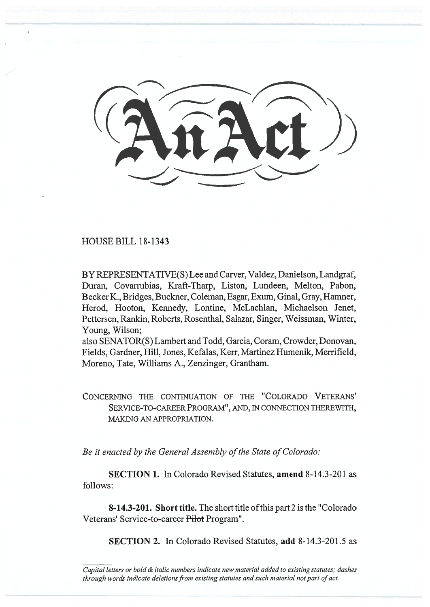HOUSE BILL 18-1343

BY REPRESENTATIVE(S) Lee and Carver, Valdez, Danielson, Landgraf, Duran, Covarrubias, Kraft-Tharp, Liston, Lundeen, Melton, Pabon, Becker K., Bridges, Buckner. Coleman, Esgar, Exum, Ginal, Gray, Hamner, Herod, Hooton, Kennedy, Lontine, McLachlan, Michaelson Jenet, Pettersen, Rankin, Roberts, Rosenthal, Salazar, Singer, Weissman, Winter, Young, Wilson;

also SENATOR(S) Lambert and Todd, Garcia, Coram, Crowder, Donovan, Fields, Gardner, Hill, Jones, Kefalas, Kerr, Martinez Humenik, Merrifield, Moreno, Tate, Williams A., Zenzinger, Grantham.

CONCERNING THE CONTINUATION OF THE "COLORADO VETERANS' SERVICE-TO-CAREER PROGRAM", AND, IN CONNECTION THEREWITH, MAKING AN APPROPRIATION.

*Be it enacted by the General Assembly of the State of Colorado:* 

**SECTION 1.** In Colorado Revised Statutes, **amend** 8-14.3-201 as follows:

**8-14.3-201. Short title.** The short title of this part 2 is the "Colorado Veterans' Service-to-career Pilot Program".

**SECTION 2.** In Colorado Revised Statutes, **add** 8-14.3-201.5 as

*Capital letters or bold & italic numbers indicate new material added to existing statutes; dashes through words indicate deletions from existing statutes and such material not part of act.*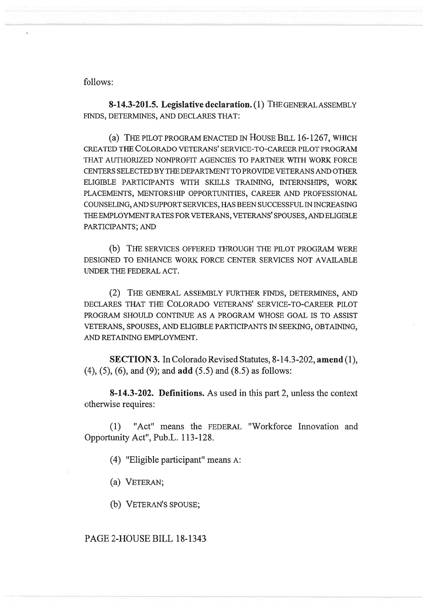follows:

**8-14.3-201.5. Legislative declaration. (1)** THE GENERAL ASSEMBLY FINDS, DETERMINES, AND DECLARES THAT:

(a) THE PILOT PROGRAM ENACTED IN HOUSE BILL 16-1267, WHICH CREATED THE COLORADO VETERANS' SERVICE-TO-CAREER PILOT PROGRAM THAT AUTHORIZED NONPROFIT AGENCIES TO PARTNER WITH WORK FORCE CENTERS SELECTED BY THE DEPARTMENT TO PROVIDE VETERANS AND OTHER ELIGIBLE PARTICIPANTS WITH SKILLS TRAINING, INTERNSHIPS, WORK PLACEMENTS, MENTORSIIIP OPPORTUNITIES, CAREER AND PROFESSIONAL COUNSELING, AND SUPPORT SERVICES, HAS BEEN SUCCESSFUL IN INCREASING THE EMPLOYMENT RATES FOR VETERANS, VETERANS' SPOUSES, AND ELIGIBLE PARTICIPANTS; AND

(b) THE SERVICES OFFERED THROUGH THE PILOT PROGRAM WERE DESIGNED TO ENHANCE WORK FORCE CENTER SERVICES NOT AVAILABLE UNDER THE FEDERAL ACT.

(2) THE GENERAL ASSEMBLY FURTHER FINDS, DETERMINES, AND DECLARES THAT THE COLORADO VETERANS' SERVICE-TO-CAREER PILOT PROGRAM SHOULD CONTINUE AS A PROGRAM WHOSE GOAL IS TO ASSIST VETERANS, SPOUSES, AND ELIGIBLE PARTICIPANTS IN SEEKING, OBTAINING, AND RETAINING EMPLOYMENT.

**SECTION 3.** In Colorado Revised Statutes, 8-14.3-202, **amend** (1), (4), (5), (6), and (9); and **add** (5.5) and (8.5) as follows:

**8-14.3-202. Definitions.** As used in this part 2, unless the context otherwise requires:

(1) "Act" means the FEDERAL "Workforce Innovation and Opportunity Act", Pub.L. 113-128.

(4) "Eligible participant" means A:

(a) VETERAN;

(b) VETERAN'S SPOUSE;

## PAGE 2-HOUSE BILL 18-1343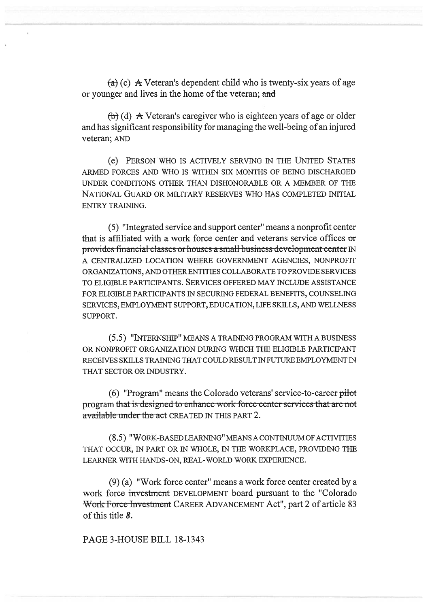$(a)$  (c) A Veteran's dependent child who is twenty-six years of age or younger and lives in the home of the veteran; and

 $(b)$  (d) A Veteran's caregiver who is eighteen years of age or older and has significant responsibility for managing the well-being of an injured veteran; AND

(e) PERSON WHO IS ACTIVELY SERVING IN THE UNITED STATES ARMED FORCES AND WHO IS WITHIN SIX MONTHS OF BEING DISCHARGED UNDER CONDITIONS OTHER THAN DISHONORABLE OR A MEMBER OF THE NATIONAL GUARD OR MILITARY RESERVES WHO HAS COMPLETED INITIAL ENTRY TRAINING.

(5) "Integrated service and support center" means a nonprofit center that is affiliated with a work force center and veterans service offices or provides-financial-classes or houses a small-business-development-center IN A CENTRALIZED LOCATION WHERE GOVERNMENT AGENCIES, NONPROFIT ORGANIZATIONS, AND OTHER ENTITIES COLLABORATE TO PROVIDE SERVICES TO ELIGIBLE PARTICIPANTS. SERVICES OFFERED MAY INCLUDE ASSISTANCE FOR ELIGIBLE PARTICIPANTS IN SECURING FEDERAL BENEFITS, COUNSELING SERVICES, EMPLOYMENT SUPPORT, EDUCATION, LIFE SKILLS, AND WELLNESS SUPPORT.

(5.5) "INTERNSHIP" MEANS A TRAINING PROGRAM WITH A BUSINESS OR NONPROFIT ORGANIZATION DURING WHICH THE ELIGIBLE PARTICIPANT RECEIVES SKILLS TRAINING THAT COULD RESULT IN FUTURE EMPLOYMENT IN THAT SECTOR OR INDUSTRY.

(6) "Program" means the Colorado veterans' service-to-career pilot program that is designed to enhance work force center services that are not available under the act CREATED IN THIS PART 2.

(8.5) "WORK-BASED LEARNING" MEANS A CONTINUUM OF ACTIVITIES THAT OCCUR, IN PART OR IN WHOLE, IN THE WORKPLACE, PROVIDING THE LEARNER WITH HANDS-ON, REAL-WORLD WORK EXPERIENCE.

(9) (a) "Work force center" means a work force center created by a work force investment DEVELOPMENT board pursuant to the "Colorado Work Force Investment CAREER ADVANCEMENT Act", part 2 of article 83 of this title *8.* 

PAGE 3-HOUSE BILL 18-1343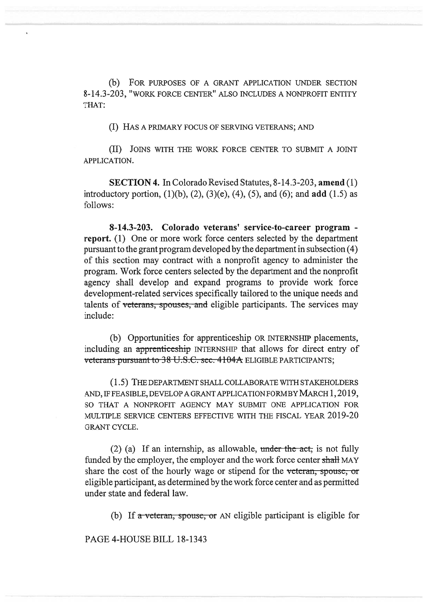(b) FOR PURPOSES OF A GRANT APPLICATION UNDER SECTION 8-14.3-203, "WORK FORCE CENTER" ALSO INCLUDES A NONPROFIT ENTITY THAT:

(I) HAS A PRIMARY FOCUS OF SERVING VETERANS; AND

(II) JOINS WITH THE WORK FORCE CENTER TO SUBMIT A JOINT APPLICATION.

**SECTION 4.** In Colorado Revised Statutes, 8-14.3-203, **amend** (1) introductory portion, (1)(b), (2), (3)(e), (4), (5), and (6); and **add** (1.5) as follows:

**8-14.3-203. Colorado veterans' service-to-career program report.** (1) One or more work force centers selected by the department pursuant to the grant program developed by the department in subsection (4) of this section may contract with a nonprofit agency to administer the program. Work force centers selected by the department and the nonprofit agency shall develop and expand programs to provide work force development-related services specifically tailored to the unique needs and talents of veterans, spouses, and eligible participants. The services may include:

(b) Opportunities for apprenticeship OR INTERNSHIP placements, including an apprenticcship INTERNSHIP that allows for direct entry of veterans-pursuant-to-38-U.S.C. sec. 4104A ELIGIBLE PARTICIPANTS;

(1.5) THE DEPARTMENT SHALL COLLABORATE WITH STAKEHOLDERS AND, IF FEASIBLE, DEVELOP A GRANT APPLICATION FORM BY MARCH 1, 2019, SO THAT A NONPROFIT AGENCY MAY SUBMIT ONE APPLICATION FOR MULTIPLE SERVICE CENTERS EFFECTIVE WITH THE FISCAL YEAR 2019-20 GRANT CYCLE.

 $(2)$  (a) If an internship, as allowable, under the act, is not fully funded by the employer, the employer and the work force center shall MAY share the cost of the hourly wage or stipend for the veteran, spouse, or eligible participant, as determined by the work force center and as permitted under state and federal law.

(b) If  $\alpha$  veteran, spouse, or AN eligible participant is eligible for

PAGE 4-HOUSE BILL 18-1343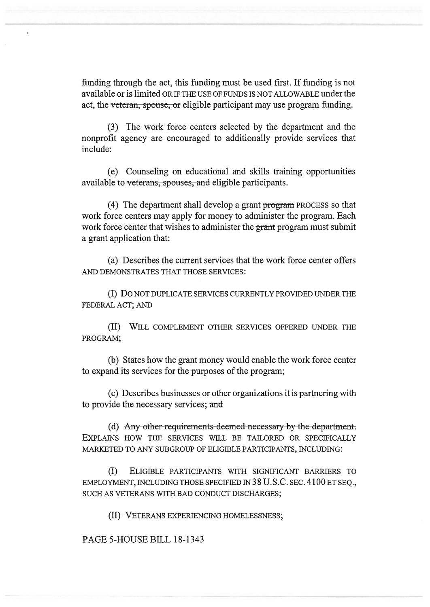funding through the act, this funding must be used first. If funding is not available or is limited OR IF THE USE OF FUNDS IS NOT ALLOWABLE under the act, the veteran, spouse, or eligible participant may use program funding.

(3) The work force centers selected by the department and the nonprofit agency are encouraged to additionally provide services that include:

(e) Counseling on educational and skills training opportunities available to veterans, spouses, and eligible participants.

(4) The department shall develop a grant program PROCESS so that work force centers may apply for money to administer the program. Each work force center that wishes to administer the grant program must submit a grant application that:

(a) Describes the current services that the work force center offers AND DEMONSTRATES THAT THOSE SERVICES:

(I) Do NOT DUPLICATE SERVICES CURRENTLY PROVIDED UNDER THE FEDERAL ACT; AND

(II) WILL COMPLEMENT OTHER SERVICES OFFERED UNDER THE PROGRAM;

(b) States how the grant money would enable the work force center to expand its services for the purposes of the program;

(c) Describes businesses or other organizations it is partnering with to provide the necessary services; and

(d) Any other requirements deemed necessary by the department. EXPLAINS HOW THE SERVICES WILL BE TAILORED OR SPECIFICALLY MARKETED TO ANY SUBGROUP OF ELIGIBLE PARTICIPANTS, INCLUDING:

(I) ELIGIBLE PARTICIPANTS WITH SIGNIFICANT BARRIERS TO EMPLOYMENT, INCLUDING THOSE SPECIFIED IN 38 U.S.C. SEC. 4100 ET SEQ., SUCH AS VETERANS WITH BAD CONDUCT DISCHARGES;

(II) VETERANS EXPERIENCING HOMELESSNESS;

PAGE 5-HOUSE BILL 18-1343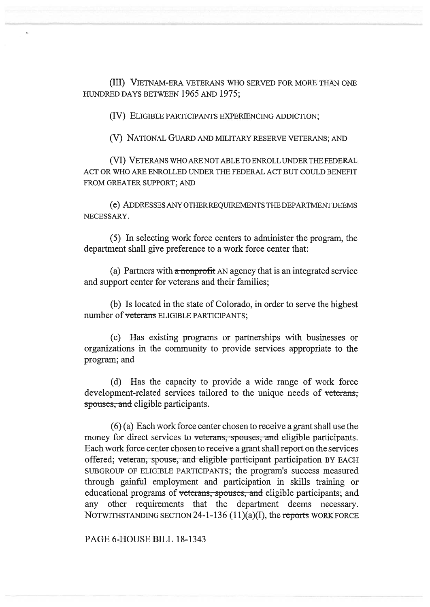(III) VIETNAM-ERA VETERANS WHO SERVED FOR MORE THAN ONE HUNDRED DAYS BETWEEN 1965 AND 1975;

(IV) ELIGIBLE PARTICIPANTS EXPERIENCING ADDICTION;

(V) NATIONAL GUARD AND MILITARY RESERVE VETERANS; AND

(VI) VETERANS WHO ARE NOT ABLE TO ENROLL UNDER THE FEDERAL ACT OR WHO ARE ENROLLED UNDER THE FEDERAL ACT BUT COULD BENEFIT FROM GREATER SUPPORT; AND

(e) ADDRESSES ANY OTHER REQUIREMENTS THE DEPARTMENT DEEMS NECESSARY.

(5) In selecting work force centers to administer the program, the department shall give preference to a work force center that:

(a) Partners with  $\alpha$  nonprofit AN agency that is an integrated service and support center for veterans and their families;

(b) Is located in the state of Colorado, in order to serve the highest number of veterans ELIGIBLE PARTICIPANTS:

(c) Ilas existing programs or partnerships with businesses or organizations in the community to provide services appropriate to the program; and

(d) Has the capacity to provide a wide range of work force development-related services tailored to the unique needs of veterans, spouses, and eligible participants.

(6) (a) Each work force center chosen to receive a grant shall use the money for direct services to veterans, spouses, and eligible participants. Each work force center chosen to receive a grant shall report on the services offered; veteran, spouse, and eligible participant participation BY EACH SUBGROUP OF ELIGIBLE PARTICIPANTS; the program's success measured through gainful employment and participation in skills training or educational programs of veterans, spouses, and eligible participants; and any other requirements that the department deems necessary. NOTWITHSTANDING SECTION 24-1-136 (1 **1)(a)(I), the reports** WORK FORCE

PAGE 6-HOUSE BILL 18-1343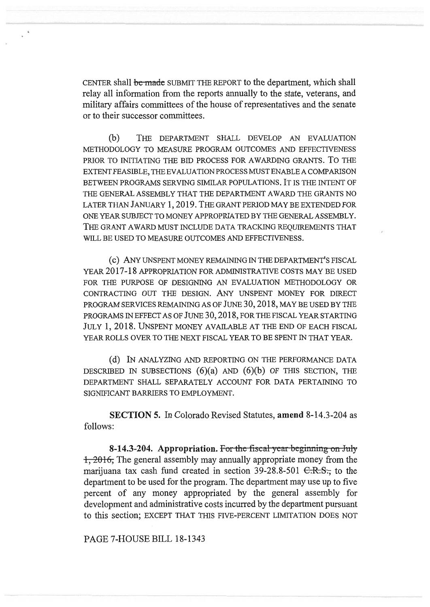CENTER shall be made SUBMIT THE REPORT to the department, which shall relay all information from the reports annually to the state, veterans, and military affairs committees of the house of representatives and the senate or to their successor committees.

(b) THE DEPARTMENT SHALL DEVELOP AN EVALUATION METHODOLOGY TO MEASURE PROGRAM OUTCOMES AND EFFECTIVENESS PRIOR TO INITIATING THE BID PROCESS FOR AWARDING GRANTS. To THE EXTENT FEASIBLE, THE EVALUATION PROCESS MUST ENABLE A COMPARISON BETWEEN PROGRAMS SERVING SIMILAR POPULATIONS. IT IS THE INTENT OF THE GENERAL ASSEMBLY THAT THE DEPARTMENT AWARD THE GRANTS NO LATER THAN JANUARY 1, 2019. THE GRANT PERIOD MAY BE EXTENDED FOR ONE YEAR SUBJECT TO MONEY APPROPRIATED BY THE GENERAL ASSEMBLY. THE GRANT AWARD MUST INCLUDE DATA TRACKING REQUIREMENTS THAT WILL BE USED TO MEASURE OUTCOMES AND EFFECTIVENESS.

(c) ANY UNSPENT MONEY REMAINING IN THE DEPARTMENT'S FISCAL YEAR 2017-18 APPROPRIATION FOR ADMINISTRATIVE COSTS MAY BE USED FOR THE PURPOSE OF DESIGNING AN EVALUATION METHODOLOGY OR CONTRACTING OUT THE DESIGN. ANY UNSPENT MONEY FOR DIRECT PROGRAM SERVICES REMAINING AS OF JUNE 30, 2018, MAY BE USED BY THE PROGRAMS IN EFFECT AS OF JUNE 30, 2018, FOR THE FISCAL YEAR STARTING JULY 1, 2018. UNSPENT MONEY AVAILABLE AT THE END OF EACH FISCAL YEAR ROLLS OVER TO THE NEXT FISCAL YEAR TO BE SPENT IN THAT YEAR.

(d) IN ANALYZING AND REPORTING ON THE PERFORMANCE DATA DESCRIBED IN SUBSECTIONS  $(6)(a)$  AND  $(6)(b)$  OF THIS SECTION, THE DEPARTMENT SHALL SEPARATELY ACCOUNT FOR DATA PERTAINING TO SIGNIFICANT BARRIERS TO EMPLOYMENT.

**SECTION 5.** In Colorado Revised Statutes, **amend** 8-14.3-204 as follows:

**8-14.3-204.** Appropriation. For the fiscal year beginning on July 1, 2016**,** The general assembly may annually appropriate money from the marijuana tax cash fund created in section 39-28.8-501  $C.R.S.,$  to the department to be used for the program. The department may use up to five percent of any money appropriated by the general assembly for development and administrative costs incurred by the department pursuant to this section; EXCEPT THAT THIS FIVE-PERCENT LIMITATION DOES NOT

PAGE 7-HOUSE BILL 18-1343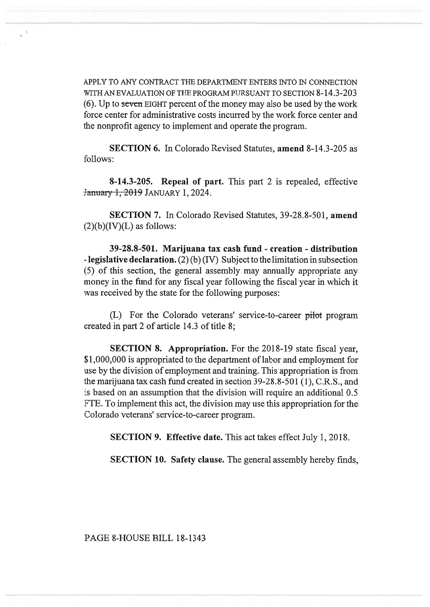APPLY TO ANY CONTRACT THE DEPARTMENT ENTERS INTO IN CONNECTION WITH AN EVALUATION OF THE PROGRAM PURSUANT TO SECTION 8-14.3-203 (6). Up to scven EIGHT percent of the money may also be used by the work force center for administrative costs incurred by the work force center and the nonprofit agency to implement and operate the program.

**SECTION 6.** In Colorado Revised Statutes, **amend** 8-14.3-205 as follows:

**8-14.3-205. Repeal of part.** This part 2 is repealed, effective <del>ty 1, 2019</del> January 1, 2024.

**SECTION 7.** In Colorado Revised Statutes, 39-28.8-501, **amend**   $(2)(b)(IV)(L)$  as follows:

**39-28.8-501. Marijuana tax cash fund - creation - distribution - legislative declaration.** (2) (b) (IV) Subject to the limitation in subsection (5) of this section, the general assembly may annually appropriate any money in the fund for any fiscal year following the fiscal year in which it was received by the state for the following purposes:

(L) For the Colorado veterans' service-to-career pilot program created in part 2 of article 14.3 of title 8;

**SECTION 8. Appropriation.** For the 2018-19 state fiscal year, \$1,000,000 is appropriated to the department of labor and employment for use by the division of employment and training. This appropriation is from the marijuana tax cash fund created in section 39-28.8-501 (1), C.R.S., and is based on an assumption that the division will require an additional 0.5 FTE. To implement this act, the division may use this appropriation for the Colorado veterans' service-to-career program.

**SECTION 9. Effective date.** This act takes effect July 1, 2018.

**SECTION 10. Safety clause.** The general assembly hereby finds,

PAGE 8-HOUSE BILL 18-1343